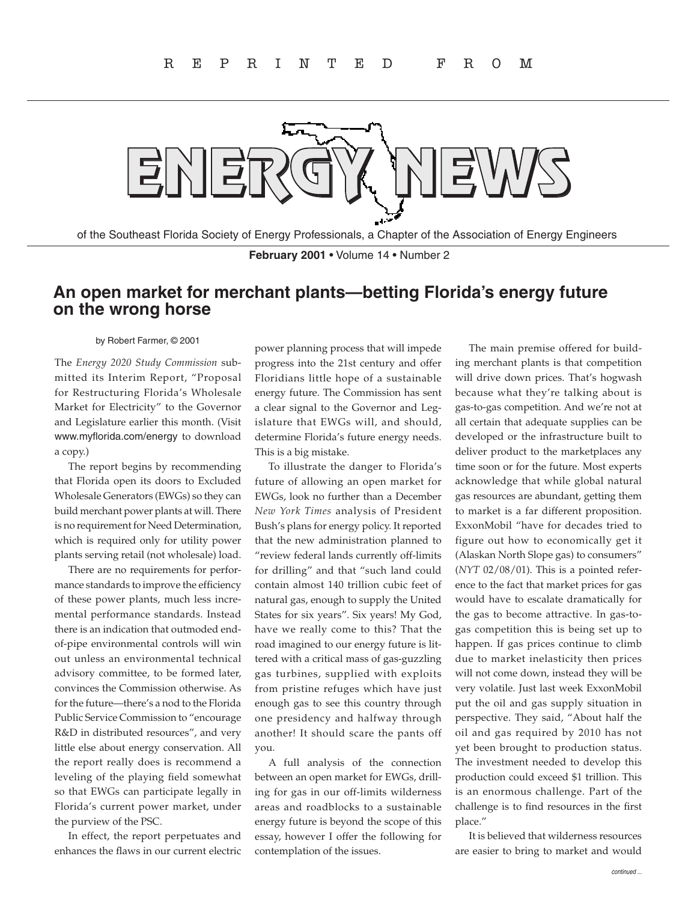

of the Southeast Florida Society of Energy Professionals, a Chapter of the Association of Energy Engineers

**February 2001** • Volume 14 • Number 2

## **An open market for merchant plants—betting Florida's energy future on the wrong horse**

## by Robert Farmer, © 2001

The *Energy 2020 Study Commission* submitted its Interim Report, "Proposal for Restructuring Florida's Wholesale Market for Electricity" to the Governor and Legislature earlier this month. (Visit www.myflorida.com/energy to download a copy.)

The report begins by recommending that Florida open its doors to Excluded Wholesale Generators (EWGs) so they can build merchant power plants at will. There is no requirement for Need Determination, which is required only for utility power plants serving retail (not wholesale) load.

There are no requirements for performance standards to improve the efficiency of these power plants, much less incremental performance standards. Instead there is an indication that outmoded endof-pipe environmental controls will win out unless an environmental technical advisory committee, to be formed later, convinces the Commission otherwise. As for the future—there's a nod to the Florida Public Service Commission to "encourage R&D in distributed resources", and very little else about energy conservation. All the report really does is recommend a leveling of the playing field somewhat so that EWGs can participate legally in Florida's current power market, under the purview of the PSC.

In effect, the report perpetuates and enhances the flaws in our current electric power planning process that will impede progress into the 21st century and offer Floridians little hope of a sustainable energy future. The Commission has sent a clear signal to the Governor and Legislature that EWGs will, and should, determine Florida's future energy needs. This is a big mistake.

To illustrate the danger to Florida's future of allowing an open market for EWGs, look no further than a December *New York Times* analysis of President Bush's plans for energy policy. It reported that the new administration planned to "review federal lands currently off-limits for drilling" and that "such land could contain almost 140 trillion cubic feet of natural gas, enough to supply the United States for six years". Six years! My God, have we really come to this? That the road imagined to our energy future is littered with a critical mass of gas-guzzling gas turbines, supplied with exploits from pristine refuges which have just enough gas to see this country through one presidency and halfway through another! It should scare the pants off you.

A full analysis of the connection between an open market for EWGs, drilling for gas in our off-limits wilderness areas and roadblocks to a sustainable energy future is beyond the scope of this essay, however I offer the following for contemplation of the issues.

The main premise offered for building merchant plants is that competition will drive down prices. That's hogwash because what they're talking about is gas-to-gas competition. And we're not at all certain that adequate supplies can be developed or the infrastructure built to deliver product to the marketplaces any time soon or for the future. Most experts acknowledge that while global natural gas resources are abundant, getting them to market is a far different proposition. ExxonMobil "have for decades tried to figure out how to economically get it (Alaskan North Slope gas) to consumers" (*NYT* 02/08/01). This is a pointed reference to the fact that market prices for gas would have to escalate dramatically for the gas to become attractive. In gas-togas competition this is being set up to happen. If gas prices continue to climb due to market inelasticity then prices will not come down, instead they will be very volatile. Just last week ExxonMobil put the oil and gas supply situation in perspective. They said, "About half the oil and gas required by 2010 has not yet been brought to production status. The investment needed to develop this production could exceed \$1 trillion. This is an enormous challenge. Part of the challenge is to find resources in the first place."

It is believed that wilderness resources are easier to bring to market and would